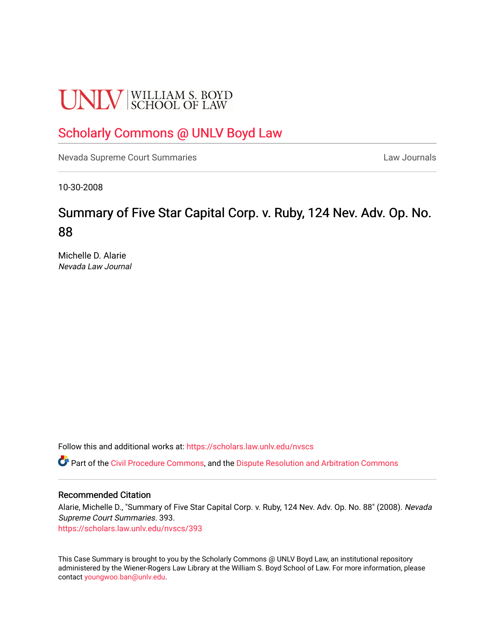# **UNLV** SCHOOL OF LAW

## [Scholarly Commons @ UNLV Boyd Law](https://scholars.law.unlv.edu/)

[Nevada Supreme Court Summaries](https://scholars.law.unlv.edu/nvscs) **Law Journals** Law Journals

10-30-2008

## Summary of Five Star Capital Corp. v. Ruby, 124 Nev. Adv. Op. No. 88

Michelle D. Alarie Nevada Law Journal

Follow this and additional works at: [https://scholars.law.unlv.edu/nvscs](https://scholars.law.unlv.edu/nvscs?utm_source=scholars.law.unlv.edu%2Fnvscs%2F393&utm_medium=PDF&utm_campaign=PDFCoverPages)

**C** Part of the [Civil Procedure Commons,](http://network.bepress.com/hgg/discipline/584?utm_source=scholars.law.unlv.edu%2Fnvscs%2F393&utm_medium=PDF&utm_campaign=PDFCoverPages) and the Dispute Resolution and Arbitration Commons

#### Recommended Citation

Alarie, Michelle D., "Summary of Five Star Capital Corp. v. Ruby, 124 Nev. Adv. Op. No. 88" (2008). Nevada Supreme Court Summaries. 393.

[https://scholars.law.unlv.edu/nvscs/393](https://scholars.law.unlv.edu/nvscs/393?utm_source=scholars.law.unlv.edu%2Fnvscs%2F393&utm_medium=PDF&utm_campaign=PDFCoverPages)

This Case Summary is brought to you by the Scholarly Commons @ UNLV Boyd Law, an institutional repository administered by the Wiener-Rogers Law Library at the William S. Boyd School of Law. For more information, please contact [youngwoo.ban@unlv.edu](mailto:youngwoo.ban@unlv.edu).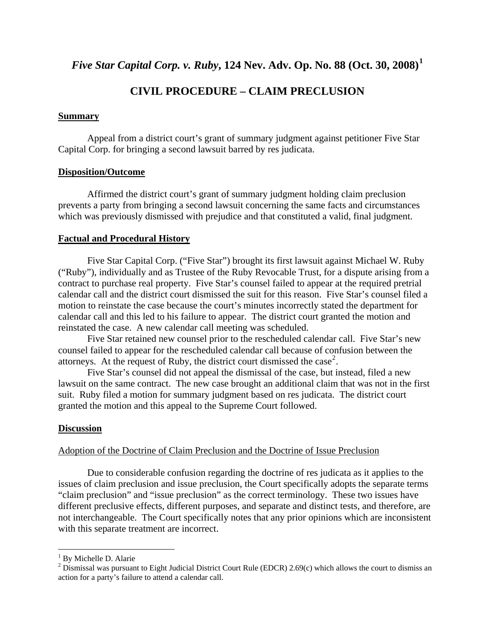*Five Star Capital Corp. v. Ruby***, 124 Nev. Adv. Op. No. 88 (Oct. 30, 2008)[1](#page-1-0)**

### **CIVIL PROCEDURE – CLAIM PRECLUSION**

#### **Summary**

 Appeal from a district court's grant of summary judgment against petitioner Five Star Capital Corp. for bringing a second lawsuit barred by res judicata.

#### **Disposition/Outcome**

 Affirmed the district court's grant of summary judgment holding claim preclusion prevents a party from bringing a second lawsuit concerning the same facts and circumstances which was previously dismissed with prejudice and that constituted a valid, final judgment.

#### **Factual and Procedural History**

 Five Star Capital Corp. ("Five Star") brought its first lawsuit against Michael W. Ruby ("Ruby"), individually and as Trustee of the Ruby Revocable Trust, for a dispute arising from a contract to purchase real property. Five Star's counsel failed to appear at the required pretrial calendar call and the district court dismissed the suit for this reason. Five Star's counsel filed a motion to reinstate the case because the court's minutes incorrectly stated the department for calendar call and this led to his failure to appear. The district court granted the motion and reinstated the case. A new calendar call meeting was scheduled.

 Five Star retained new counsel prior to the rescheduled calendar call. Five Star's new counsel failed to appear for the rescheduled calendar call because of confusion between the attorneys. At the request of Ruby, the district court dismissed the case<sup>[2](#page-1-1)</sup>.

 Five Star's counsel did not appeal the dismissal of the case, but instead, filed a new lawsuit on the same contract. The new case brought an additional claim that was not in the first suit. Ruby filed a motion for summary judgment based on res judicata. The district court granted the motion and this appeal to the Supreme Court followed.

#### **Discussion**

#### Adoption of the Doctrine of Claim Preclusion and the Doctrine of Issue Preclusion

 Due to considerable confusion regarding the doctrine of res judicata as it applies to the issues of claim preclusion and issue preclusion, the Court specifically adopts the separate terms "claim preclusion" and "issue preclusion" as the correct terminology. These two issues have different preclusive effects, different purposes, and separate and distinct tests, and therefore, are not interchangeable. The Court specifically notes that any prior opinions which are inconsistent with this separate treatment are incorrect.

 $\overline{a}$ 

<sup>&</sup>lt;sup>1</sup> By Michelle D. Alarie

<span id="page-1-1"></span><span id="page-1-0"></span><sup>&</sup>lt;sup>2</sup> Dismissal was pursuant to Eight Judicial District Court Rule (EDCR) 2.69(c) which allows the court to dismiss an action for a party's failure to attend a calendar call.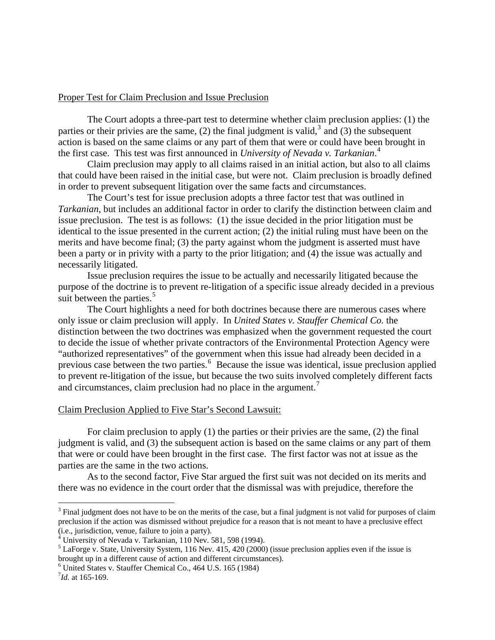#### Proper Test for Claim Preclusion and Issue Preclusion

 The Court adopts a three-part test to determine whether claim preclusion applies: (1) the parties or their privies are the same,  $(2)$  the final judgment is valid,<sup>[3](#page-2-0)</sup> and  $(3)$  the subsequent action is based on the same claims or any part of them that were or could have been brought in the first case. This test was first announced in *University of Nevada v. Tarkanian*. [4](#page-2-1)

 Claim preclusion may apply to all claims raised in an initial action, but also to all claims that could have been raised in the initial case, but were not. Claim preclusion is broadly defined in order to prevent subsequent litigation over the same facts and circumstances.

 The Court's test for issue preclusion adopts a three factor test that was outlined in *Tarkanian*, but includes an additional factor in order to clarify the distinction between claim and issue preclusion. The test is as follows: (1) the issue decided in the prior litigation must be identical to the issue presented in the current action; (2) the initial ruling must have been on the merits and have become final; (3) the party against whom the judgment is asserted must have been a party or in privity with a party to the prior litigation; and (4) the issue was actually and necessarily litigated.

 Issue preclusion requires the issue to be actually and necessarily litigated because the purpose of the doctrine is to prevent re-litigation of a specific issue already decided in a previous suit between the parties.<sup>[5](#page-2-2)</sup>

 The Court highlights a need for both doctrines because there are numerous cases where only issue or claim preclusion will apply. In *United States v. Stauffer Chemical Co.* the distinction between the two doctrines was emphasized when the government requested the court to decide the issue of whether private contractors of the Environmental Protection Agency were "authorized representatives" of the government when this issue had already been decided in a previous case between the two parties.<sup>[6](#page-2-3)</sup> Because the issue was identical, issue preclusion applied to prevent re-litigation of the issue, but because the two suits involved completely different facts and circumstances, claim preclusion had no place in the argument.<sup>[7](#page-2-4)</sup>

#### Claim Preclusion Applied to Five Star's Second Lawsuit:

 For claim preclusion to apply (1) the parties or their privies are the same, (2) the final judgment is valid, and (3) the subsequent action is based on the same claims or any part of them that were or could have been brought in the first case. The first factor was not at issue as the parties are the same in the two actions.

 As to the second factor, Five Star argued the first suit was not decided on its merits and there was no evidence in the court order that the dismissal was with prejudice, therefore the

 $\overline{a}$ 

<span id="page-2-0"></span> $3$  Final judgment does not have to be on the merits of the case, but a final judgment is not valid for purposes of claim preclusion if the action was dismissed without prejudice for a reason that is not meant to have a preclusive effect (i.e., jurisdiction, venue, failure to join a party).

<span id="page-2-1"></span><sup>4</sup> University of Nevada v. Tarkanian, 110 Nev. 581, 598 (1994).

<span id="page-2-2"></span> $<sup>5</sup>$  LaForge v. State, University System, 116 Nev. 415, 420 (2000) (issue preclusion applies even if the issue is</sup> brought up in a different cause of action and different circumstances).

<span id="page-2-3"></span> $<sup>6</sup>$  United States v. Stauffer Chemical Co., 464 U.S. 165 (1984)</sup>

<span id="page-2-4"></span> $^{7}$ *Id.* at 165-169.